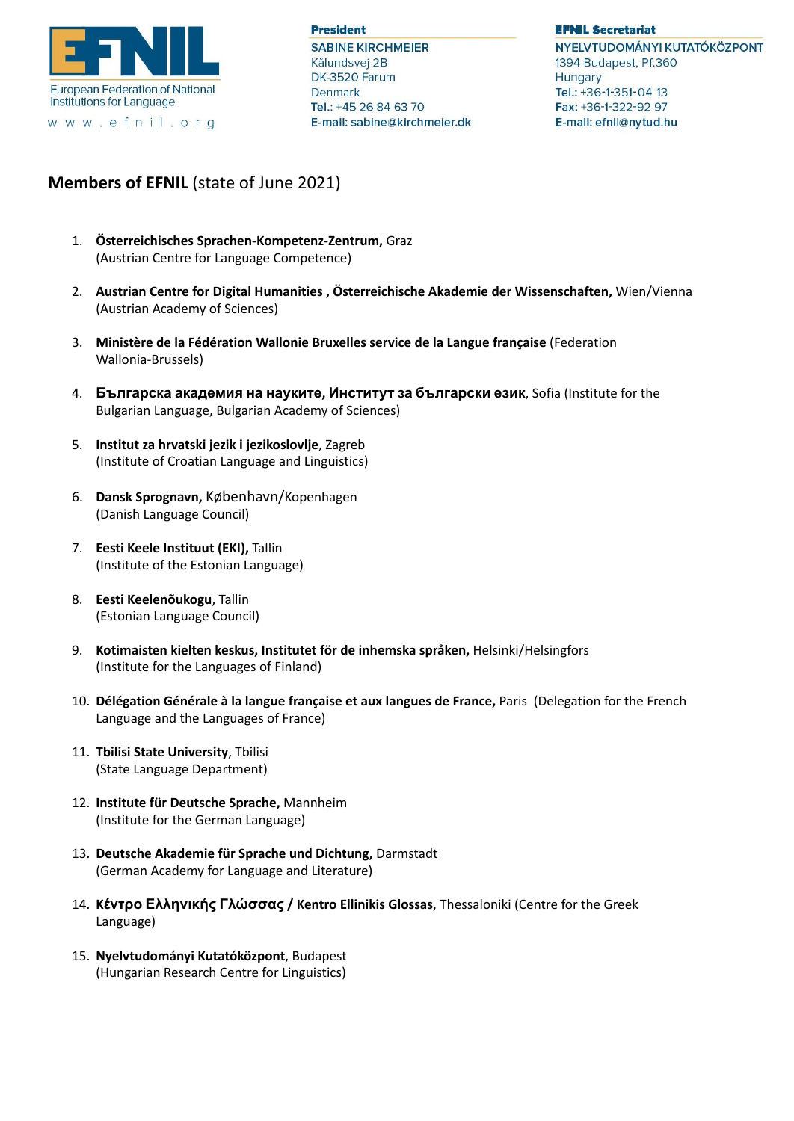

www.efnil.org

**President SABINE KIRCHMEIER** Kålundsvej 2B DK-3520 Farum Denmark Tel.: +45 26 84 63 70 E-mail: sabine@kirchmeier.dk **EFNIL Secretariat** 

NYELVTUDOMÁNYI KUTATÓKÖZPONT 1394 Budapest, Pf.360 **Hungary** Tel.: +36-1-351-04 13 Fax: +36-1-322-92 97 E-mail: efnil@nytud.hu

## **Members of EFNIL** (state of June 2021)

- 1. **Österreichisches Sprachen-Kompetenz-Zentrum,** Graz (Austrian Centre for Language Competence)
- 2. **Austrian Centre for Digital Humanities , Österreichische Akademie der Wissenschaften,** Wien/Vienna (Austrian Academy of Sciences)
- 3. **Ministère de la Fédération Wallonie Bruxelles service de la Langue française** (Federation Wallonia-Brussels)
- 4. **Българска академия на науките, Институт за български език**, Sofia (Institute for the Bulgarian Language, Bulgarian Academy of Sciences)
- 5. **Institut za hrvatski jezik i jezikoslovlje**, Zagreb (Institute of Croatian Language and Linguistics)
- 6. **Dansk Sprognavn,** København/Kopenhagen (Danish Language Council)
- 7. **Eesti Keele Instituut (EKI),** Tallin (Institute of the Estonian Language)
- 8. **Eesti Keelenõukogu**, Tallin (Estonian Language Council)
- 9. **Kotimaisten kielten keskus, Institutet för de inhemska språken,** Helsinki/Helsingfors (Institute for the Languages of Finland)
- 10. **Délégation Générale à la langue française et aux langues de France,** Paris (Delegation for the French Language and the Languages of France)
- 11. **Tbilisi State University**, Tbilisi (State Language Department)
- 12. **Institute für Deutsche Sprache,** Mannheim (Institute for the German Language)
- 13. **Deutsche Akademie für Sprache und Dichtung,** Darmstadt (German Academy for Language and Literature)
- 14. **Kέντρο Ελληνικής Γλώσσας / Kentro Ellinikis Glossas**, Thessaloniki (Centre for the Greek Language)
- 15. **Nyelvtudományi Kutatóközpont**, Budapest (Hungarian Research Centre for Linguistics)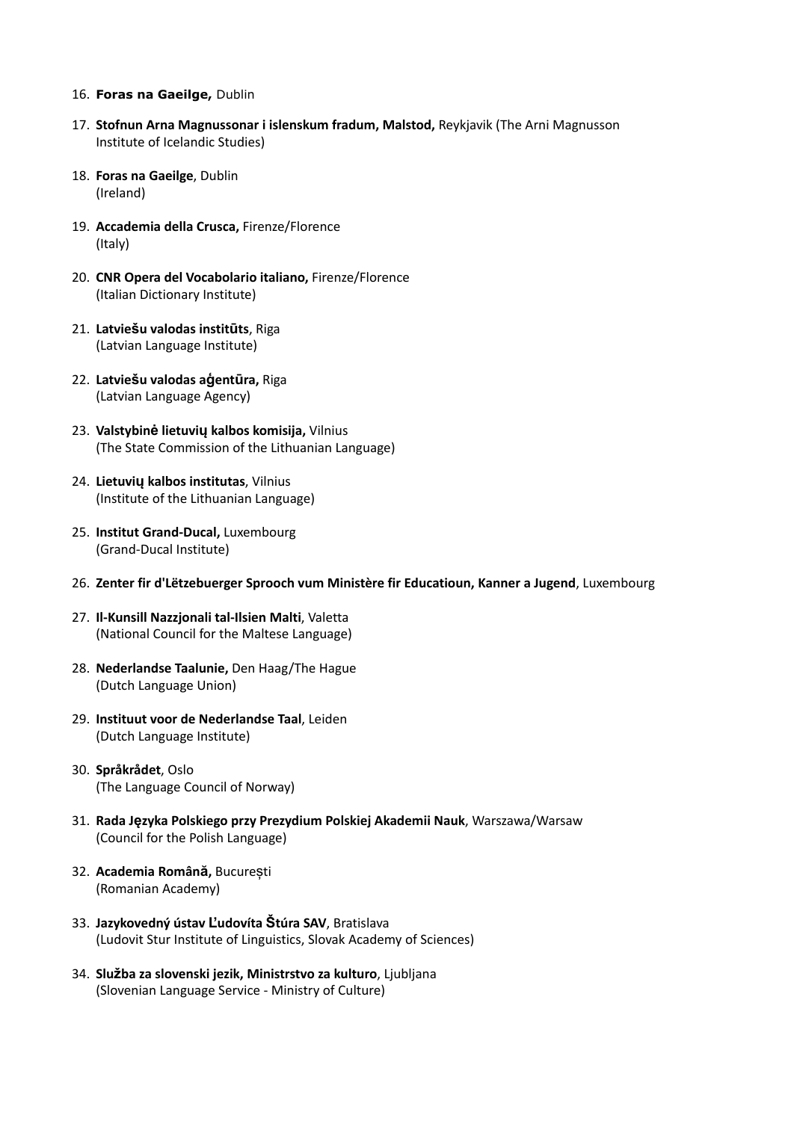## 16. **Foras na Gaeilge,** Dublin

- 17. **Stofnun Arna Magnussonar i islenskum fradum, Malstod,** Reykjavik (The Arni Magnusson Institute of Icelandic Studies)
- 18. **Foras na Gaeilge**, Dublin (Ireland)
- 19. **Accademia della Crusca,** Firenze/Florence (Italy)
- 20. **CNR Opera del Vocabolario italiano,** Firenze/Florence (Italian Dictionary Institute)
- 21. **Latviešu valodas institūts**, Riga (Latvian Language Institute)
- 22. **Latviešu valodas aģentūra,** Riga (Latvian Language Agency)
- 23. **Valstybinė lietuvių kalbos komisija,** Vilnius (The State Commission of the Lithuanian Language)
- 24. **Lietuvių kalbos institutas**, Vilnius (Institute of the Lithuanian Language)
- 25. **Institut Grand-Ducal,** Luxembourg (Grand-Ducal Institute)
- 26. **Zenter fir d'Lëtzebuerger Sprooch vum Ministère fir Educatioun, Kanner a Jugend**, Luxembourg
- 27. **Il-Kunsill Nazzjonali tal-Ilsien Malti**, Valetta (National Council for the Maltese Language)
- 28. **Nederlandse Taalunie,** Den Haag/The Hague (Dutch Language Union)
- 29. **Instituut voor de Nederlandse Taal**, Leiden (Dutch Language Institute)
- 30. **Språkrådet**, Oslo (The Language Council of Norway)
- 31. **Rada Języka Polskiego przy Prezydium Polskiej Akademii Nauk**, Warszawa/Warsaw (Council for the Polish Language)
- 32. **Academia Română,** București (Romanian Academy)
- 33. **Jazykovedný ústav Ľudovíta Štúra SAV**, Bratislava (Ludovit Stur Institute of Linguistics, Slovak Academy of Sciences)
- 34. **Služba za slovenski jezik, Ministrstvo za kulturo**, Ljubljana (Slovenian Language Service - Ministry of Culture)